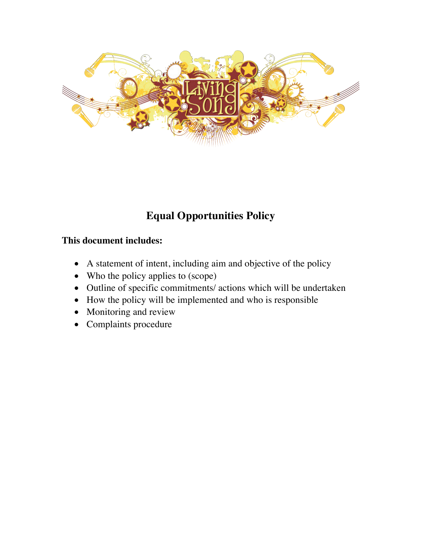

# **Equal Opportunities Policy**

# **This document includes:**

- A statement of intent, including aim and objective of the policy
- Who the policy applies to (scope)
- Outline of specific commitments/ actions which will be undertaken
- How the policy will be implemented and who is responsible
- Monitoring and review
- Complaints procedure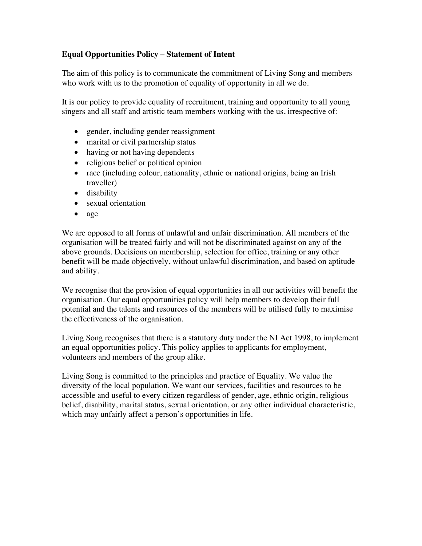# **Equal Opportunities Policy – Statement of Intent**

The aim of this policy is to communicate the commitment of Living Song and members who work with us to the promotion of equality of opportunity in all we do.

It is our policy to provide equality of recruitment, training and opportunity to all young singers and all staff and artistic team members working with the us, irrespective of:

- gender, including gender reassignment
- marital or civil partnership status
- having or not having dependents
- religious belief or political opinion
- race (including colour, nationality, ethnic or national origins, being an Irish traveller)
- disability
- sexual orientation
- age

We are opposed to all forms of unlawful and unfair discrimination. All members of the organisation will be treated fairly and will not be discriminated against on any of the above grounds. Decisions on membership, selection for office, training or any other benefit will be made objectively, without unlawful discrimination, and based on aptitude and ability.

We recognise that the provision of equal opportunities in all our activities will benefit the organisation. Our equal opportunities policy will help members to develop their full potential and the talents and resources of the members will be utilised fully to maximise the effectiveness of the organisation.

Living Song recognises that there is a statutory duty under the NI Act 1998, to implement an equal opportunities policy. This policy applies to applicants for employment, volunteers and members of the group alike.

Living Song is committed to the principles and practice of Equality. We value the diversity of the local population. We want our services, facilities and resources to be accessible and useful to every citizen regardless of gender, age, ethnic origin, religious belief, disability, marital status, sexual orientation, or any other individual characteristic, which may unfairly affect a person's opportunities in life.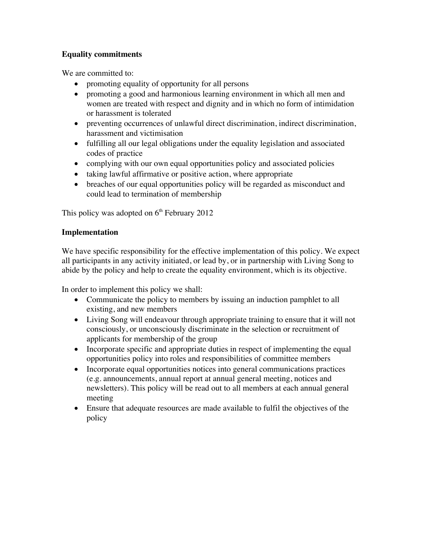# **Equality commitments**

We are committed to:

- promoting equality of opportunity for all persons
- promoting a good and harmonious learning environment in which all men and women are treated with respect and dignity and in which no form of intimidation or harassment is tolerated
- preventing occurrences of unlawful direct discrimination, indirect discrimination, harassment and victimisation
- fulfilling all our legal obligations under the equality legislation and associated codes of practice
- complying with our own equal opportunities policy and associated policies
- taking lawful affirmative or positive action, where appropriate
- breaches of our equal opportunities policy will be regarded as misconduct and could lead to termination of membership

This policy was adopted on  $6<sup>th</sup>$  February 2012

### **Implementation**

We have specific responsibility for the effective implementation of this policy. We expect all participants in any activity initiated, or lead by, or in partnership with Living Song to abide by the policy and help to create the equality environment, which is its objective.

In order to implement this policy we shall:

- Communicate the policy to members by issuing an induction pamphlet to all existing, and new members
- Living Song will endeavour through appropriate training to ensure that it will not consciously, or unconsciously discriminate in the selection or recruitment of applicants for membership of the group
- Incorporate specific and appropriate duties in respect of implementing the equal opportunities policy into roles and responsibilities of committee members
- Incorporate equal opportunities notices into general communications practices (e.g. announcements, annual report at annual general meeting, notices and newsletters). This policy will be read out to all members at each annual general meeting
- Ensure that adequate resources are made available to fulfil the objectives of the policy